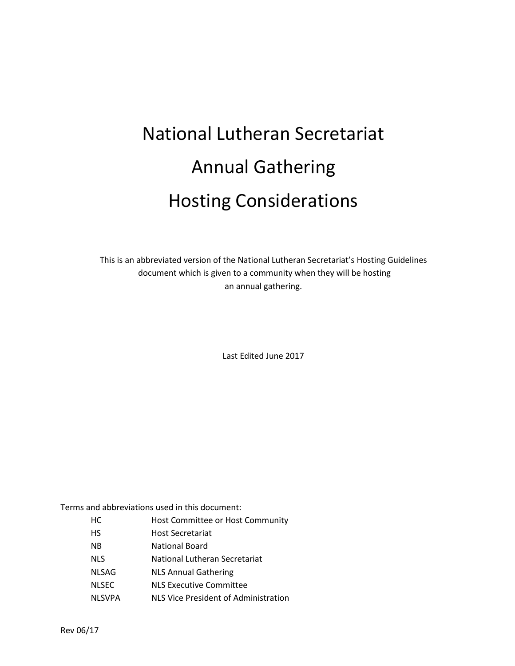# National Lutheran Secretariat Annual Gathering Hosting Considerations

This is an abbreviated version of the National Lutheran Secretariat's Hosting Guidelines document which is given to a community when they will be hosting an annual gathering.

Last Edited June 2017

Terms and abbreviations used in this document:

HC Host Committee or Host Community HS Host Secretariat NB National Board NLS National Lutheran Secretariat NLSAG NLS Annual Gathering NLSEC NLS Executive Committee NLSVPA NLS Vice President of Administration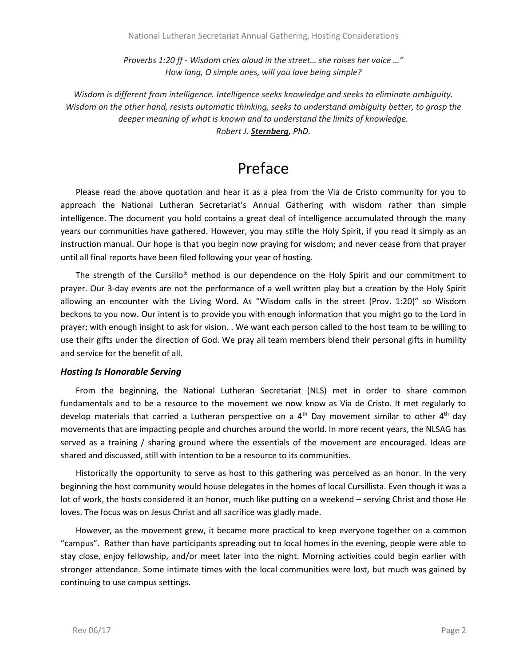*Proverbs 1:20 ff - Wisdom cries aloud in the street… she raises her voice …" How long, O simple ones, will you love being simple?*

*Wisdom is different from intelligence. Intelligence seeks knowledge and seeks to eliminate ambiguity. Wisdom on the other hand, resists automatic thinking, seeks to understand ambiguity better, to grasp the deeper meaning of what is known and to understand the limits of knowledge.*

*Robert J. [Sternberg](http://www.amazon.com/Wisdom-Its-Nature-Origins-Development/dp/0521367182), PhD.*

### Preface

Please read the above quotation and hear it as a plea from the Via de Cristo community for you to approach the National Lutheran Secretariat's Annual Gathering with wisdom rather than simple intelligence. The document you hold contains a great deal of intelligence accumulated through the many years our communities have gathered. However, you may stifle the Holy Spirit, if you read it simply as an instruction manual. Our hope is that you begin now praying for wisdom; and never cease from that prayer until all final reports have been filed following your year of hosting.

The strength of the Cursillo® method is our dependence on the Holy Spirit and our commitment to prayer. Our 3-day events are not the performance of a well written play but a creation by the Holy Spirit allowing an encounter with the Living Word. As "Wisdom calls in the street (Prov. 1:20)" so Wisdom beckons to you now. Our intent is to provide you with enough information that you might go to the Lord in prayer; with enough insight to ask for vision. . We want each person called to the host team to be willing to use their gifts under the direction of God. We pray all team members blend their personal gifts in humility and service for the benefit of all.

### *Hosting Is Honorable Serving*

From the beginning, the National Lutheran Secretariat (NLS) met in order to share common fundamentals and to be a resource to the movement we now know as Via de Cristo. It met regularly to develop materials that carried a Lutheran perspective on a  $4<sup>th</sup>$  Day movement similar to other  $4<sup>th</sup>$  day movements that are impacting people and churches around the world. In more recent years, the NLSAG has served as a training / sharing ground where the essentials of the movement are encouraged. Ideas are shared and discussed, still with intention to be a resource to its communities.

Historically the opportunity to serve as host to this gathering was perceived as an honor. In the very beginning the host community would house delegates in the homes of local Cursillista. Even though it was a lot of work, the hosts considered it an honor, much like putting on a weekend – serving Christ and those He loves. The focus was on Jesus Christ and all sacrifice was gladly made.

However, as the movement grew, it became more practical to keep everyone together on a common "campus". Rather than have participants spreading out to local homes in the evening, people were able to stay close, enjoy fellowship, and/or meet later into the night. Morning activities could begin earlier with stronger attendance. Some intimate times with the local communities were lost, but much was gained by continuing to use campus settings.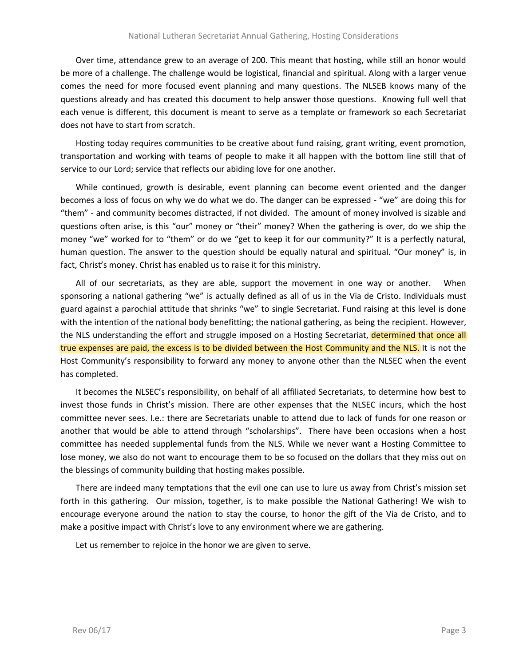Over time, attendance grew to an average of 200. This meant that hosting, while still an honor would be more of a challenge. The challenge would be logistical, financial and spiritual. Along with a larger venue comes the need for more focused event planning and many questions. The NLSEB knows many of the questions already and has created this document to help answer those questions. Knowing full well that each venue is different, this document is meant to serve as a template or framework so each Secretariat does not have to start from scratch.

Hosting today requires communities to be creative about fund raising, grant writing, event promotion, transportation and working with teams of people to make it all happen with the bottom line still that of service to our Lord; service that reflects our abiding love for one another.

While continued, growth is desirable, event planning can become event oriented and the danger becomes a loss of focus on why we do what we do. The danger can be expressed - "we" are doing this for "them" - and community becomes distracted, if not divided. The amount of money involved is sizable and questions often arise, is this "our" money or "their" money? When the gathering is over, do we ship the money "we" worked for to "them" or do we "get to keep it for our community?" It is a perfectly natural, human question. The answer to the question should be equally natural and spiritual. "Our money" is, in fact, Christ's money. Christ has enabled us to raise it for this ministry.

All of our secretariats, as they are able, support the movement in one way or another. When sponsoring a national gathering "we" is actually defined as all of us in the Via de Cristo. Individuals must guard against a parochial attitude that shrinks "we" to single Secretariat. Fund raising at this level is done with the intention of the national body benefitting; the national gathering, as being the recipient. However, the NLS understanding the effort and struggle imposed on a Hosting Secretariat, determined that once all true expenses are paid, the excess is to be divided between the Host Community and the NLS. It is not the Host Community's responsibility to forward any money to anyone other than the NLSEC when the event has completed.

It becomes the NLSEC's responsibility, on behalf of all affiliated Secretariats, to determine how best to invest those funds in Christ's mission. There are other expenses that the NLSEC incurs, which the host committee never sees. I.e.: there are Secretariats unable to attend due to lack of funds for one reason or another that would be able to attend through "scholarships". There have been occasions when a host committee has needed supplemental funds from the NLS. While we never want a Hosting Committee to lose money, we also do not want to encourage them to be so focused on the dollars that they miss out on the blessings of community building that hosting makes possible.

There are indeed many temptations that the evil one can use to lure us away from Christ's mission set forth in this gathering. Our mission, together, is to make possible the National Gathering! We wish to encourage everyone around the nation to stay the course, to honor the gift of the Via de Cristo, and to make a positive impact with Christ's love to any environment where we are gathering.

Let us remember to rejoice in the honor we are given to serve.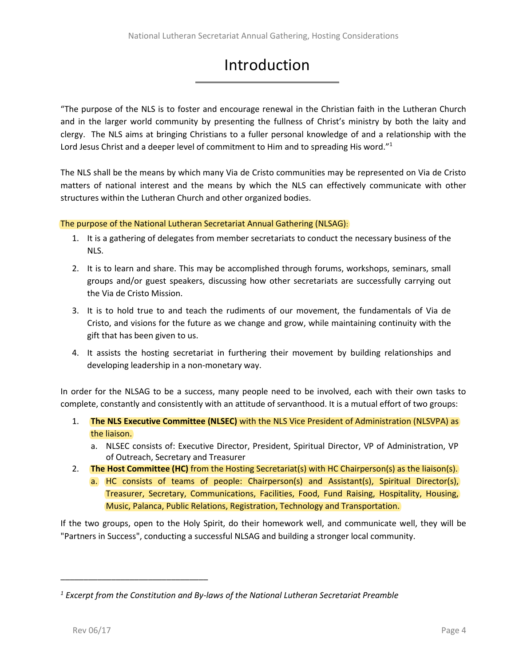## **Introduction**

"The purpose of the NLS is to foster and encourage renewal in the Christian faith in the Lutheran Church and in the larger world community by presenting the fullness of Christ's ministry by both the laity and clergy. The NLS aims at bringing Christians to a fuller personal knowledge of and a relationship with the Lord Jesus Christ and a deeper level of commitment to Him and to spreading His word."<sup>1</sup>

The NLS shall be the means by which many Via de Cristo communities may be represented on Via de Cristo matters of national interest and the means by which the NLS can effectively communicate with other structures within the Lutheran Church and other organized bodies.

### The purpose of the National Lutheran Secretariat Annual Gathering (NLSAG):

- 1. It is a gathering of delegates from member secretariats to conduct the necessary business of the NLS.
- 2. It is to learn and share. This may be accomplished through forums, workshops, seminars, small groups and/or guest speakers, discussing how other secretariats are successfully carrying out the Via de Cristo Mission.
- 3. It is to hold true to and teach the rudiments of our movement, the fundamentals of Via de Cristo, and visions for the future as we change and grow, while maintaining continuity with the gift that has been given to us.
- 4. It assists the hosting secretariat in furthering their movement by building relationships and developing leadership in a non-monetary way.

In order for the NLSAG to be a success, many people need to be involved, each with their own tasks to complete, constantly and consistently with an attitude of servanthood. It is a mutual effort of two groups:

- 1. **The NLS Executive Committee (NLSEC)** with the NLS Vice President of Administration (NLSVPA) as the liaison.
	- a. NLSEC consists of: Executive Director, President, Spiritual Director, VP of Administration, VP of Outreach, Secretary and Treasurer
- 2. **The Host Committee (HC)** from the Hosting Secretariat(s) with HC Chairperson(s) as the liaison(s).
	- a. HC consists of teams of people: Chairperson(s) and Assistant(s), Spiritual Director(s), Treasurer, Secretary, Communications, Facilities, Food, Fund Raising, Hospitality, Housing, Music, Palanca, Public Relations, Registration, Technology and Transportation.

If the two groups, open to the Holy Spirit, do their homework well, and communicate well, they will be "Partners in Success", conducting a successful NLSAG and building a stronger local community.

\_\_\_\_\_\_\_\_\_\_\_\_\_\_\_\_\_\_\_\_\_\_\_\_\_\_\_\_\_\_\_\_

*<sup>1</sup> Excerpt from the Constitution and By-laws of the National Lutheran Secretariat Preamble*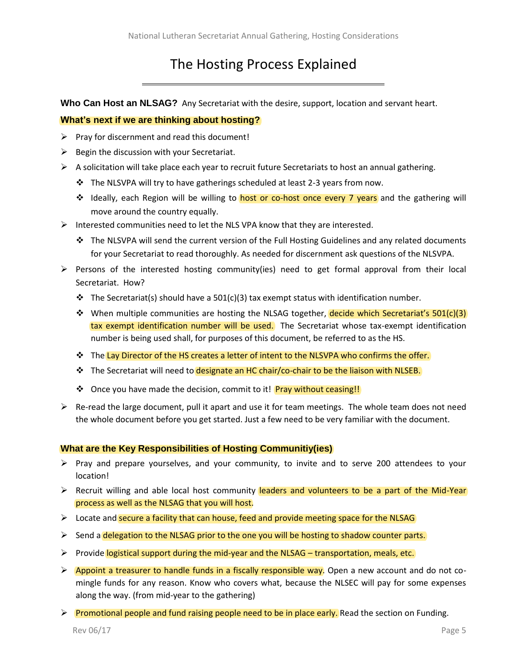### The Hosting Process Explained

**Who Can Host an NLSAG?** Any Secretariat with the desire, support, location and servant heart.

### **What's next if we are thinking about hosting?**

- $\triangleright$  Pray for discernment and read this document!
- $\triangleright$  Begin the discussion with your Secretariat.
- $\triangleright$  A solicitation will take place each year to recruit future Secretariats to host an annual gathering.
	- ❖ The NLSVPA will try to have gatherings scheduled at least 2-3 years from now.
	- ❖ Ideally, each Region will be willing to host or co-host once every 7 years and the gathering will move around the country equally.
- ➢ Interested communities need to let the NLS VPA know that they are interested.
	- ❖ The NLSVPA will send the current version of the Full Hosting Guidelines and any related documents for your Secretariat to read thoroughly. As needed for discernment ask questions of the NLSVPA.
- $\triangleright$  Persons of the interested hosting community(ies) need to get formal approval from their local Secretariat. How?
	- ❖ The Secretariat(s) should have a 501(c)(3) tax exempt status with identification number.
	- ❖ When multiple communities are hosting the NLSAG together, decide which Secretariat's 501(c)(3) tax exempt identification number will be used. The Secretariat whose tax-exempt identification number is being used shall, for purposes of this document, be referred to as the HS.
	- ❖ The Lay Director of the HS creates a letter of intent to the NLSVPA who confirms the offer.
	- ❖ The Secretariat will need to designate an HC chair/co-chair to be the liaison with NLSEB.
	- ❖ Once you have made the decision, commit to it! Pray without ceasing!!
- $\triangleright$  Re-read the large document, pull it apart and use it for team meetings. The whole team does not need the whole document before you get started. Just a few need to be very familiar with the document.

### **What are the Key Responsibilities of Hosting Communitiy(ies)**

- $\triangleright$  Pray and prepare yourselves, and your community, to invite and to serve 200 attendees to your location!
- $\triangleright$  Recruit willing and able local host community leaders and volunteers to be a part of the Mid-Year process as well as the NLSAG that you will host.
- ➢ Locate and secure a facility that can house, feed and provide meeting space for the NLSAG
- ➢ Send a delegation to the NLSAG prior to the one you will be hosting to shadow counter parts.
- ➢ Provide logistical support during the mid-year and the NLSAG transportation, meals, etc.
- ➢ Appoint a treasurer to handle funds in a fiscally responsible way. Open a new account and do not comingle funds for any reason. Know who covers what, because the NLSEC will pay for some expenses along the way. (from mid-year to the gathering)
- $\triangleright$  Promotional people and fund raising people need to be in place early. Read the section on Funding.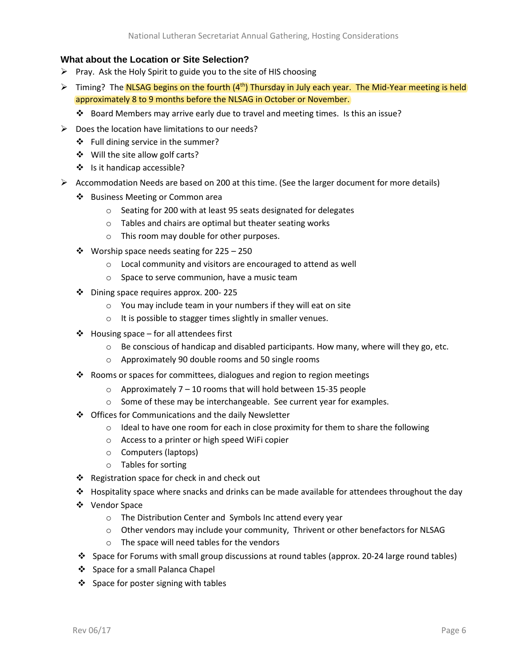### **What about the Location or Site Selection?**

- $\triangleright$  Pray. Ask the Holy Spirit to guide you to the site of HIS choosing
- > Timing? The NLSAG begins on the fourth (4<sup>th</sup>) Thursday in July each year. The Mid-Year meeting is held approximately 8 to 9 months before the NLSAG in October or November.
	- ❖ Board Members may arrive early due to travel and meeting times. Is this an issue?
- $\triangleright$  Does the location have limitations to our needs?
	- ❖ Full dining service in the summer?
	- ❖ Will the site allow golf carts?
	- ❖ Is it handicap accessible?
- $\triangleright$  Accommodation Needs are based on 200 at this time. (See the larger document for more details)
	- ❖ Business Meeting or Common area
		- o Seating for 200 with at least 95 seats designated for delegates
		- o Tables and chairs are optimal but theater seating works
		- o This room may double for other purposes.
	- ❖ Worship space needs seating for 225 250
		- o Local community and visitors are encouraged to attend as well
		- o Space to serve communion, have a music team
	- ❖ Dining space requires approx. 200- 225
		- o You may include team in your numbers if they will eat on site
		- o It is possible to stagger times slightly in smaller venues.
	- ❖ Housing space for all attendees first
		- $\circ$  Be conscious of handicap and disabled participants. How many, where will they go, etc.
		- o Approximately 90 double rooms and 50 single rooms
	- ❖ Rooms or spaces for committees, dialogues and region to region meetings
		- $\circ$  Approximately 7 10 rooms that will hold between 15-35 people
		- o Some of these may be interchangeable. See current year for examples.
	- ❖ Offices for Communications and the daily Newsletter
		- $\circ$  Ideal to have one room for each in close proximity for them to share the following
		- o Access to a printer or high speed WiFi copier
		- o Computers (laptops)
		- o Tables for sorting
	- ❖ Registration space for check in and check out
	- $♦$  Hospitality space where snacks and drinks can be made available for attendees throughout the day
	- ❖ Vendor Space
		- o The Distribution Center and Symbols Inc attend every year
		- $\circ$  Other vendors may include your community, Thrivent or other benefactors for NLSAG
		- o The space will need tables for the vendors
	- ❖ Space for Forums with small group discussions at round tables (approx. 20-24 large round tables)
	- ❖ Space for a small Palanca Chapel
	- ❖ Space for poster signing with tables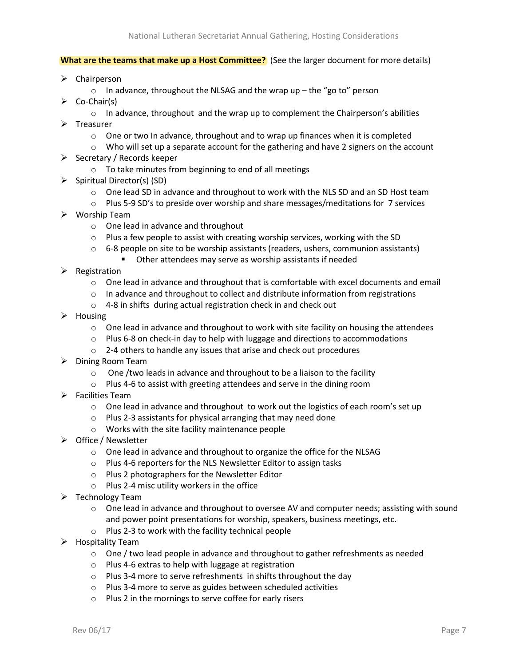#### **What are the teams that make up a Host Committee?** (See the larger document for more details)

- ➢ Chairperson
	- $\circ$  In advance, throughout the NLSAG and the wrap up the "go to" person
- $\triangleright$  Co-Chair(s)
	- $\circ$  In advance, throughout and the wrap up to complement the Chairperson's abilities
- ➢ Treasurer
	- $\circ$  One or two In advance, throughout and to wrap up finances when it is completed
	- $\circ$  Who will set up a separate account for the gathering and have 2 signers on the account
- ➢ Secretary / Records keeper
	- o To take minutes from beginning to end of all meetings
- ➢ Spiritual Director(s) (SD)
	- $\circ$  One lead SD in advance and throughout to work with the NLS SD and an SD Host team
	- $\circ$  Plus 5-9 SD's to preside over worship and share messages/meditations for 7 services
- ➢ Worship Team
	- o One lead in advance and throughout
	- $\circ$  Plus a few people to assist with creating worship services, working with the SD
	- $\circ$  6-8 people on site to be worship assistants (readers, ushers, communion assistants)
		- Other attendees may serve as worship assistants if needed
- ➢ Registration
	- $\circ$  One lead in advance and throughout that is comfortable with excel documents and email
	- $\circ$  In advance and throughout to collect and distribute information from registrations
	- o 4-8 in shifts during actual registration check in and check out
- ➢ Housing
	- $\circ$  One lead in advance and throughout to work with site facility on housing the attendees
	- $\circ$  Plus 6-8 on check-in day to help with luggage and directions to accommodations
	- o 2-4 others to handle any issues that arise and check out procedures
- ➢ Dining Room Team
	- o One /two leads in advance and throughout to be a liaison to the facility
	- o Plus 4-6 to assist with greeting attendees and serve in the dining room
- ➢ Facilities Team
	- $\circ$  One lead in advance and throughout to work out the logistics of each room's set up
	- o Plus 2-3 assistants for physical arranging that may need done
	- o Works with the site facility maintenance people
- ➢ Office / Newsletter
	- o One lead in advance and throughout to organize the office for the NLSAG
	- o Plus 4-6 reporters for the NLS Newsletter Editor to assign tasks
	- o Plus 2 photographers for the Newsletter Editor
	- o Plus 2-4 misc utility workers in the office
- $\triangleright$  Technology Team
	- $\circ$  One lead in advance and throughout to oversee AV and computer needs; assisting with sound and power point presentations for worship, speakers, business meetings, etc.
	- o Plus 2-3 to work with the facility technical people
- ➢ Hospitality Team
	- $\circ$  One / two lead people in advance and throughout to gather refreshments as needed
	- o Plus 4-6 extras to help with luggage at registration
	- o Plus 3-4 more to serve refreshments in shifts throughout the day
	- o Plus 3-4 more to serve as guides between scheduled activities
	- o Plus 2 in the mornings to serve coffee for early risers